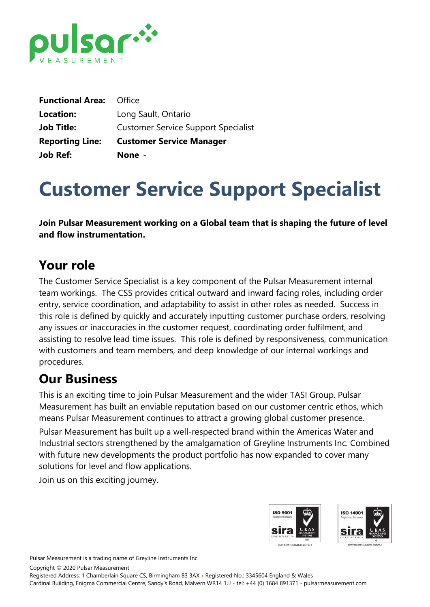

| <b>Job Ref:</b>                | None -                                     |
|--------------------------------|--------------------------------------------|
| <b>Reporting Line:</b>         | <b>Customer Service Manager</b>            |
| <b>Job Title:</b>              | <b>Customer Service Support Specialist</b> |
| Location:                      | Long Sault, Ontario                        |
| <b>Functional Area: Office</b> |                                            |

# **Customer Service Support Specialist**

**Join Pulsar Measurement working on a Global team that is shaping the future of level and flow instrumentation.**

## **Your role**

The Customer Service Specialist is a key component of the Pulsar Measurement internal team workings. The CSS provides critical outward and inward facing roles, including order entry, service coordination, and adaptability to assist in other roles as needed. Success in this role is defined by quickly and accurately inputting customer purchase orders, resolving any issues or inaccuracies in the customer request, coordinating order fulfilment, and assisting to resolve lead time issues. This role is defined by responsiveness, communication with customers and team members, and deep knowledge of our internal workings and procedures.

## **Our Business**

This is an exciting time to join Pulsar Measurement and the wider TASI Group. Pulsar Measurement has built an enviable reputation based on our customer centric ethos, which means Pulsar Measurement continues to attract a growing global customer presence.

Pulsar Measurement has built up a well-respected brand within the Americas Water and Industrial sectors strengthened by the amalgamation of Greyline Instruments Inc. Combined with future new developments the product portfolio has now expanded to cover many solutions for level and flow applications.

Join us on this exciting journey.



Pulsar Measurement is a trading name of Greyline Instruments Inc.

Copyright © 2020 Pulsar Measurement